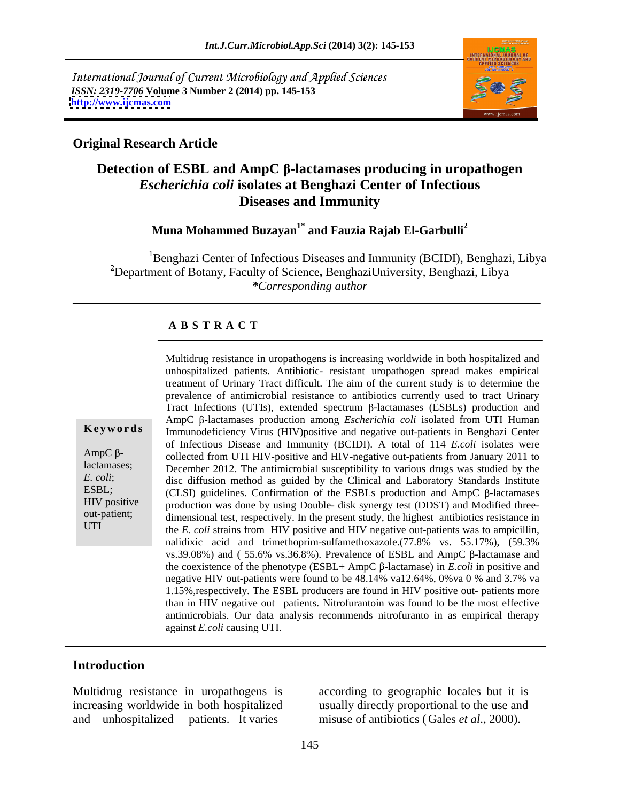International Journal of Current Microbiology and Applied Sciences *ISSN: 2319-7706* **Volume 3 Number 2 (2014) pp. 145-153 <http://www.ijcmas.com>**



### **Original Research Article**

# **Detection** of **ESBL** and **AmpC** β-lactamases producing in uropathogen *Escherichia coli* **isolates at Benghazi Center of Infectious Diseases and Immunity**

**Muna Mohammed Buzayan1\* and Fauzia Rajab El-Garbulli<sup>2</sup>**

<sup>1</sup>Benghazi Center of Infectious Diseases and Immunity (BCIDI), Benghazi, Libya Department of Botany, Faculty of Science**,** BenghaziUniversity, Benghazi, Libya *\*Corresponding author* 

### **A B S T R A C T**

**Keywords** Immunodeficiency Virus (HIV)positive and negative out-patients in Benghazi Center AmpC  $\beta$ - collected from UTI HIV-positive and HIV-negative out-patients from January 2011 to lactamases; December 2012. The antimicrobial susceptibility to various drugs was studied by the *E. coli*; disc diffusion method as guided by the Clinical and Laboratory Standards Institute ESBL; (CLSI) guidelines. Confirmation of the ESBLs production and AmpC  $\beta$ -lactamases HIV positive production was done by using Double- disk synergy test (DDST) and Modified three out-patient; dimensional test, respectively. In the present study, the highest antibiotics resistance in UTI the *E. coli* strains from HIV positive and HIV negative out-patients was to ampicillin, Multidrug resistance in uropathogens is increasing worldwide in both hospitalized and unhospitalized patients. Antibiotic- resistant uropathogen spread makes empirical treatment of Urinary Tract difficult. The aim of the current study is to determine the prevalence of antimicrobial resistance to antibiotics currently used to tract Urinary Tract Infections (UTIs), extended spectrum  $\beta$ -lactamases (ESBLs) production and AmpC  $\beta$ -lactamases production among *Escherichia coli* isolated from UTI Human of Infectious Disease and Immunity (BCIDI). A total of 114 *E.coli* isolates were nalidixic acid and trimethoprim-sulfamethoxazole.(77.8% vs. 55.17%), (59.3% vs.39.08%) and (55.6% vs.36.8%). Prevalence of ESBL and AmpC  $\beta$ -lactamase and the coexistence of the phenotype  $(ESBL+AmpC \beta$ -lactamase) in *E.coli* in positive and negative HIV out-patients were found to be 48.14% va12.64%, 0%va 0 % and 3.7% va 1.15%,respectively. The ESBL producers are found in HIV positive out- patients more than in HIV negative out -patients. Nitrofurantoin was found to be the most effective antimicrobials. Our data analysis recommends nitrofuranto in as empirical therapy against *E.coli* causing UTI.

### **Introduction**

Multidrug resistance in uropathogens is increasing worldwide in both hospitalized usually directly proportional to the use and and unhospitalized patients. It varies

according to geographic locales but it is misuse of antibiotics (Gales *et al*., 2000).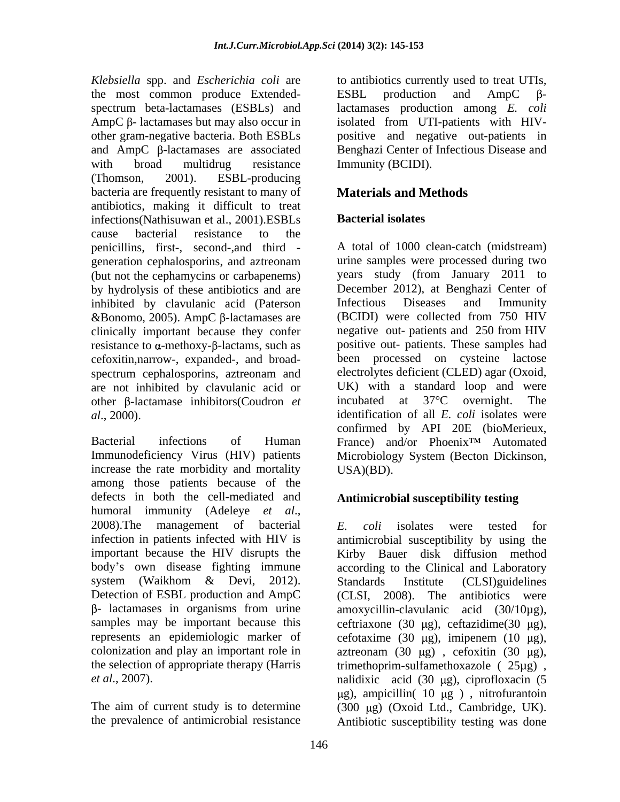*Klebsiella* spp. and *Escherichia coli* are to antibiotics currently used to treat UTIs*,* the most common produce Extended- ESBL production and AmpC  $\beta$ spectrum beta-lactamases (ESBLs) and lactamases production among *E. coli*  $AmpC \beta$ - lactamases but may also occur in isolated from UTI-patients with HIVother gram-negative bacteria. Both ESBLs positive and negative out-patients in and AmpC  $\beta$ -lactamases are associated Benghazi Center of Infectious Disease and with broad multidrug resistance Immunity (BCIDI). (Thomson, 2001). ESBL-producing bacteria are frequently resistant to many of **Materials and Methods** antibiotics, making it difficult to treat infections(Nathisuwan et al., 2001).ESBLs cause bacterial resistance to the penicillins, first-, second-,and third - A total of 1000 clean-catch (midstream) generation cephalosporins, and aztreonam (but not the cephamycins or carbapenems) by hydrolysis of these antibiotics and are inhibited by clavulanic acid (Paterson  $&$ Bonomo, 2005). AmpC  $\beta$ -lactamases are clinically important because they confer negative out-patients and 250 from HIV resistance to  $\alpha$ -methoxy- $\beta$ -lactams, such as cefoxitin,narrow-, expanded-, and broad spectrum cephalosporins, aztreonam and electrolytes deficient (CLED) agar (Oxoid, are not inhibited by clavulanic acid or other  $\beta$ -lactamase inhibitors(Coudron *et* incubated at  $37^{\circ}$ C overnight. The

Immunodeficiency Virus (HIV) patients increase the rate morbidity and mortality USA)(BD). among those patients because of the defects in both the cell-mediated and humoral immunity (Adeleye *et al*.,<br>2008).The management of bacterial *E. coli* isolates were tested for infection in patients infected with HIV is antimicrobial susceptibility by using the important because the HIV disrupts the Kirby Bauer disk diffusion method body's own disease fighting immune according to the Clinical and Laboratory system (Waikhom & Devi, 2012). Standards Institute (CLSI)guidelines Detection of ESBL production and AmpC (CLSI, 2008). The antibiotics were samples may be important because this ceftriaxone (30  $\mu$ g), ceftazidime(30  $\mu$ g), represents an epidemiologic marker of cefotaxime (30 µg), imipenem (10 µg), colonization and play an important role in  $\alpha$  aztreonam (30 µg), cefoxitin (30 µg), the selection of appropriate therapy (Harris trimethoprim-sulfamethoxazole ( 25µg) ,

ESBL production and AmpC  $\beta$ -Immunity (BCIDI).

# **Materials and Methods**

# **Bacterial isolates**

*al*., 2000). identification of all *E. coli* isolates were Bacterial infections of Human France) and/or Phoenix<sup>TM</sup> Automated urine samples were processed during two years study (from January 2011 to December 2012), at Benghazi Center of Infectious Diseases and Immunity (BCIDI) were collected from 750 HIV negative out- patients and 250 from HIV positive out- patients. These samples had been processed on cysteine lactose electrolytes deficient (CLED) agar (Oxoid, UK) with a standard loop and were incubated at  $37^{\circ}$ C overnight. confirmed by API 20E (bioMerieux, Microbiology System (Becton Dickinson, USA)(BD).

## **Antimicrobial susceptibility testing**

- lactamases in organisms from urine amoxycillin-clavulanic acid (30/10µg), *et al.*, 2007). The nalidixic acid (30 μg), ciprofloxacin (5 The aim of current study is to determine  $(300 \text{ µg})$   $(Oxoid \text{ Ltd., Cambridge, UK}).$ the prevalence of antimicrobial resistance Antibiotic susceptibility testing was done*E. coli* isolates were tested for Standards Institute (CLSI)guidelines (CLSI, 2008). The antibiotics were  $\mu$ g), ampicillin( 10  $\mu$ g), nitrofurantoin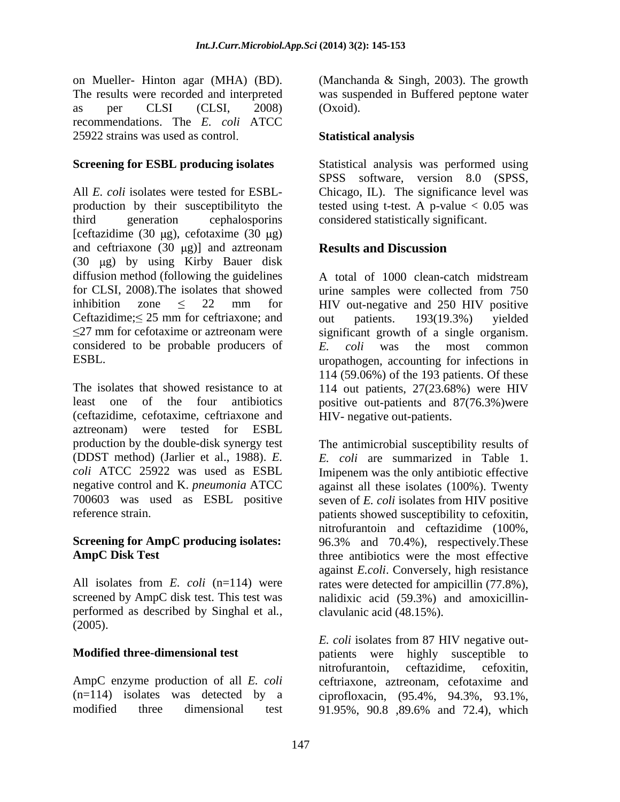on Mueller- Hinton agar (MHA) (BD). (Manchanda & Singh, 2003). The growth The results were recorded and interpreted was suspended in Buffered peptone water as per CLSI (CLSI, 2008) (Oxoid). recommendations. The *E. coli* ATCC 25922 strains was used as control

### **Screening for ESBL producing isolates**

All *E. coli* isolates were tested for ESBL- Chicago, IL). The significance level was production by their susceptibilityto the tested using t-test. A p-value < 0.05 was third generation cephalosporins considered statistically significant. [ceftazidime (30  $\mu$ g), cefotaxime (30  $\mu$ g) and ceftriaxone  $(30 \mu g)$ ] and aztreonam **Results and Discussion** (30  $\mu$ g) by using Kirby Bauer disk diffusion method (following the guidelines  $\overline{A}$  total of 1000 clean-catch midstream for CLSI, 2008). The isolates that showed urine samples were collected from 750 inhibition zone  $\leq$  22 mm for HIV out-negative and 250 HIV positive Ceftazidime;  $\leq 25$  mm for ceftriaxone; and out patients. 193(19.3%) yielded considered to be probable producers of  $E$  coli was the most common

The isolates that showed resistance to at 114 out patients, 27(23.68%) were HIV least one of the four antibiotics positive out-patients and 87(76.3%)were (ceftazidime, cefotaxime, ceftriaxone and aztreonam) were tested for ESBL production by the double-disk synergy test The antimicrobial susceptibility results of (DDST method) (Jarlier et al., 1988). *E. E. coli* are summarized in Table 1. *coli* ATCC 25922 was used as ESBL Imipenem was the only antibiotic effective negative control and K. *pneumonia* ATCC against all these isolates (100%). Twenty 700603 was used as ESBL positive seven of *E. coli* isolates from HIV positive

performed as described by Singhal et al*.*, (2005).

AmpC enzyme production of all *E. coli* (n=114) isolates was detected by a ciprofloxacin, (95.4%, 94.3%, 93.1%,

(Oxoid).

## **Statistical analysis**

Statistical analysis was performed using SPSS software, version 8.0 (SPSS,

## **Results and Discussion**

27 mm for cefotaxime or aztreonam were significant growth of a single organism. ESBL. uropathogen, accounting for infections in A total of 1000 clean-catch midstream urine samples were collected from 750 out patients. 193(19.3%) yielded *E. coli* was the most common 114 (59.06%) of the 193 patients. Of these HIV- negative out-patients.

reference strain patients showed susceptibility to cefoxitin, **Screening for AmpC producing isolates:** 96.3% and 70.4%), respectively. These AmpC Disk Test **AmpC** Disk Test **the most effective** All isolates from *E. coli* (n=114) were rates were detected for ampicillin (77.8%), screened by AmpC disk test. This test was nalidixic acid (59.3%) and amoxicillin nitrofurantoin and ceftazidime (100%, 96.3% and 70.4%), respectively.These against *E.coli*. Conversely, high resistance clavulanic acid (48.15%).

**Modified three-dimensional test** patients were highly susceptible to modified three dimensional test 91.95%, 90.8 ,89.6% and 72.4), which*E. coli* isolates from 87 HIV negative out nitrofurantoin, ceftazidime, cefoxitin, ceftriaxone, aztreonam, cefotaxime and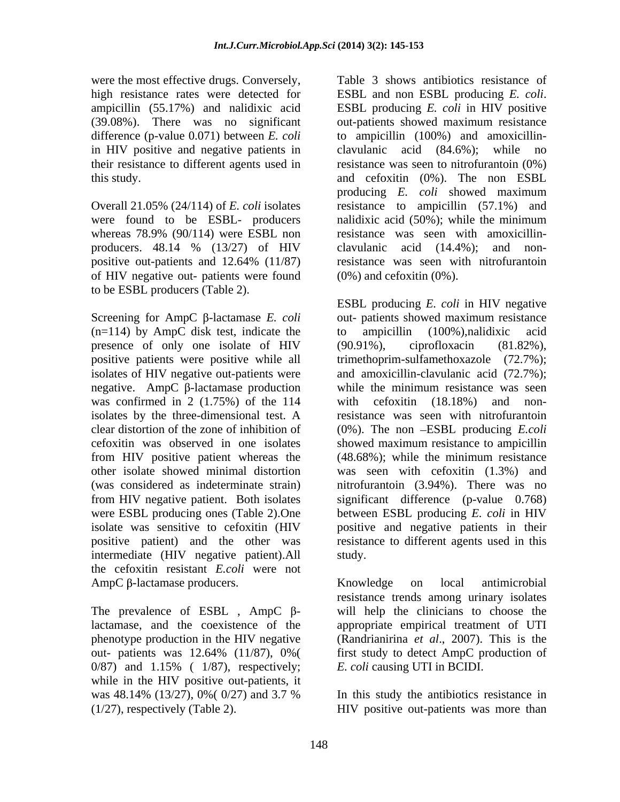were the most effective drugs. Conversely, high resistance rates were detected for ESBL and non ESBL producing E. coli. ampicillin (55.17%) and nalidixic acid ESBL producing *E. coli* in HIV positive in HIV positive and negative patients in clavulanic acid (84.6%); while no their resistance to different agents used in

whereas 78.9% (90/114) were ESBL non of HIV negative out- patients were found to be ESBL producers (Table 2).

 $(n=114)$  by AmpC disk test, indicate the to ampicillin  $(100\%)$ , nalidixic acid presence of only one isolate of HIV (90.91%), ciprofloxacin (81.82%), negative. AmpC  $\beta$ -lactamase production while the minimum resistance was seen was confirmed in 2 (1.75%) of the 114 with cefoxitin (18.18%) and noncefoxitin was observed in one isolates from HIV positive patient whereas the (48.68%); while the minimum resistance intermediate (HIV negative patient).All study. the cefoxitin resistant *E.coli* were not

lactamase, and the coexistence of the appropriate empirical treatment of UTI phenotype production in the HIV negative (Randrianirina et al., 2007). This is the 0/87) and 1.15% ( 1/87), respectively; while in the HIV positive out-patients, it was  $48.14\%$  (13/27), 0%( 0/27) and 3.7 % In this study the antibiotics resistance in

(39.08%). There was no significant out-patients showed maximum resistance difference (p-value 0.071) between *E. coli* to ampicillin (100%) and amoxicillin this study. and cefoxitin (0%). The non ESBL Overall 21.05% (24/114) of *E. coli* isolates resistance to ampicillin (57.1%) and were found to be ESBL- producers nalidixic acid (50%); while the minimum producers. 48.14 % (13/27) of HIV positive out-patients and 12.64% (11/87) resistance was seen with nitrofurantoin Table 3 shows antibiotics resistance of ESBL and non ESBL producing *E. coli*. ESBL producing *E. coli* in HIV positive clavulanic acid  $(84.6\%)$ ; resistance was seen to nitrofurantoin  $(0\%)$ producing *E. coli* showed maximum resistance was seen with amoxicillin clavulanic acid (14.4%); and nonresistance was seen with nitrofurantoin  $(0\%)$  and cefoxitin  $(0\%)$ .

Screening for AmpC  $\beta$ -lactamase *E. coli* out- patients showed maximum resistance positive patients were positive while all trimethoprim-sulfamethoxazole (72.7%); isolates of HIV negative out-patients were and amoxicillin-clavulanic acid (72.7%); isolates by the three-dimensional test. A resistance was seen with nitrofurantoin clear distortion of the zone of inhibition of (0%). The non ESBL producing *E.coli*  other isolate showed minimal distortion was seen with cefoxitin (1.3%) and (was considered as indeterminate strain) nitrofurantoin (3.94%). There was no from HIV negative patient. Both isolates significant difference (p-value 0.768) were ESBL producing ones (Table 2).One between ESBL producing *E. coli* in HIV isolate was sensitive to cefoxitin (HIV positive and negative patients in their positive patient) and the other was resistance to different agents used in this ESBL producing *E. coli* in HIV negative out- patients showed maximum resistance to ampicillin (100%),nalidixic acid (90.91%), ciprofloxacin (81.82%), while the minimum resistance was seen with cefoxitin  $(18.18\%)$  and showed maximum resistance to ampicillin (48.68%); while the minimum resistance study.

AmpC  $\beta$ -lactamase producers. Knowledge on local antimicrobial The prevalence of ESBL,  $AmpC$   $\beta$ - will help the clinicians to choose the out- patients was 12.64% (11/87), 0%( first study to detect AmpC production of Knowledge on local antimicrobial resistance trends among urinary isolates appropriate empirical treatment of UTI (Randrianirina *et al*., 2007). This is the first study to detect AmpC production of *E. coli* causing UTI in BCIDI.

(1/27), respectively (Table 2). HIV positive out-patients was more thanIn this study the antibiotics resistance in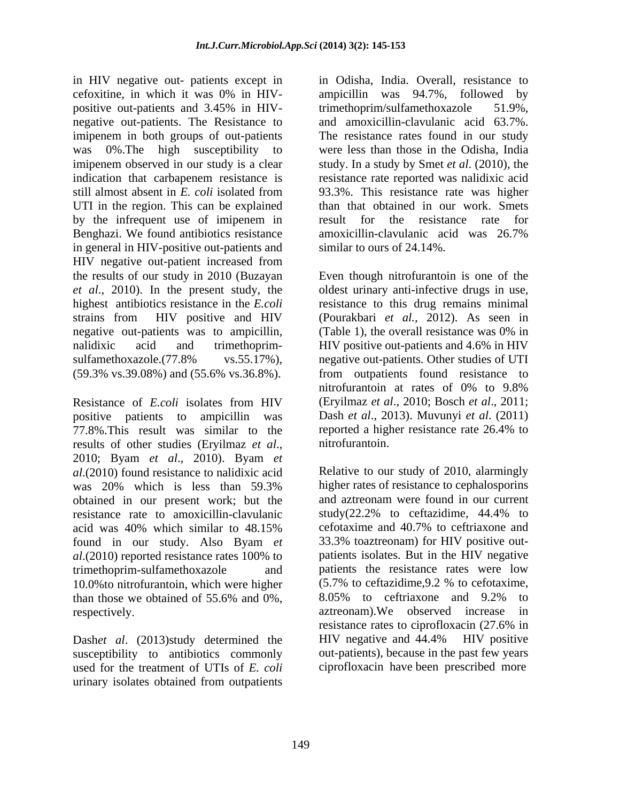in HIV negative out- patients except in cefoxitine, in which it was 0% in HIV positive out-patients and 3.45% in HIV-<br>trimethoprim/sulfamethoxazole 51.9%, negative out-patients. The Resistance to imipenem in both groups of out-patients was 0%.The high susceptibility to were less than those in the Odisha, India imipenem observed in our study is a clear study. In a study by Smet *et al*. (2010), the indication that carbapenem resistance is resistance rate reported was nalidixic acid still almost absent in *E. coli* isolated from UTI in the region. This can be explained by the infrequent use of imipenem in result for the resistance rate for Benghazi. We found antibiotics resistance amoxicillin-clavulanic acid was 26.7% in general in HIV-positive out-patients and HIV negative out-patient increased from the results of our study in 2010 (Buzayan *et al*., 2010). In the present study, the oldest urinary anti-infective drugs in use, highest antibiotics resistance in the *E.coli* resistance to this drug remains minimal strains from HIV positive and HIV (Pourakbari *et al.,* 2012). As seen in negative out-patients was to ampicillin, (Table 1), the overall resistance was 0% in nalidixic acid and trimethoprim- HIV positive out-patients and 4.6% in HIV sulfamethoxazole.(77.8% vs.55.17%), negative out-patients. Other studies of UTI (59.3% vs.39.08%) and (55.6% vs.36.8%). from outpatients found resistance to

Resistance of *E.coli* isolates from HIV (Eryilmaz *et al.*, 2010; Bosch *et al.*, 2011; positive patients to ampicillin was Dash *et al*., 2013). Muvunyi *et al*. (2011) 77.8%. This result was similar to the reported a higher resistance rate  $26.4\%$  to results of other studies (Fryilmaz *et al* nitrofurantoin. results of other studies (Eryilmaz *et al*., 2010; Byam *et al*., 2010). Byam *et al*.(2010) found resistance to nalidixic acid Relative to our study of 2010, alarmingly was 20% which is less than 59.3% higher rates of resistance to cephalosporins obtained in our present work; but the and aztreonam were found in our current resistance rate to amoxicillin-clavulanic study  $(22.2\%$  to ceftazidime, 44.4% to resistance rate to amoxicillin-clavulanic study(22.2% to ceftazidime, 44.4% to acid was 40% which similar to 48.15% ceforaxime and 40.7% to ceftriaxone and acid was 40% which similar to 48.15% found in our study. Also Byam *et al*.(2010) reported resistance rates 100% to trimethoprim-sulfamethoxazole and patients the resistance rates were low 10.0% to nitrofurantoin, which were higher (5.7% to ceftazidime, 9.2 % to cefotaxime, than those we obtained of 55.6% and  $0\%$ ,  $8.05\%$  to ceftriaxone and 9.2% to

Dashet al. (2013)study determined the HIV negative and 44.4% HIV positive susceptibility to antibiotics commonly used for the treatment of UTIs of *E. coli* urinary isolates obtained from outpatients

in Odisha, India. Overall, resistance to ampicillin was 94.7%, followed by trimethoprim/sulfamethoxazole and amoxicillin-clavulanic acid 63.7%. The resistance rates found in our study 93.3%. This resistance rate was higher than that obtained in our work. Smets result for the resistance rate for amoxicillin-clavulanic acid was 26.7% similar to ours of 24.14%.

Even though nitrofurantoin is one of the (Table 1), the overall resistance was 0% in nitrofurantoin at rates of 0% to 9.8% (Eryilmaz *et al*., 2010; Bosch *et al*., 2011; reported a higher resistance rate 26.4% to nitrofurantoin.

respectively aztreonam).We observed increase in higher rates of resistance to cephalosporins and aztreonam were found in our current study(22.2% to ceftazidime, 44.4% to cefotaxime and 40.7% to ceftriaxone and 33.3% toaztreonam) for HIV positive out patients isolates. But in the HIV negative (5.7% to ceftazidime,9.2 % to cefotaxime, 8.05% to ceftriaxone and 9.2% to resistance rates to ciprofloxacin (27.6% in HIV negative and 44.4% HIV positive out-patients), because in the past few years ciprofloxacin have been prescribed more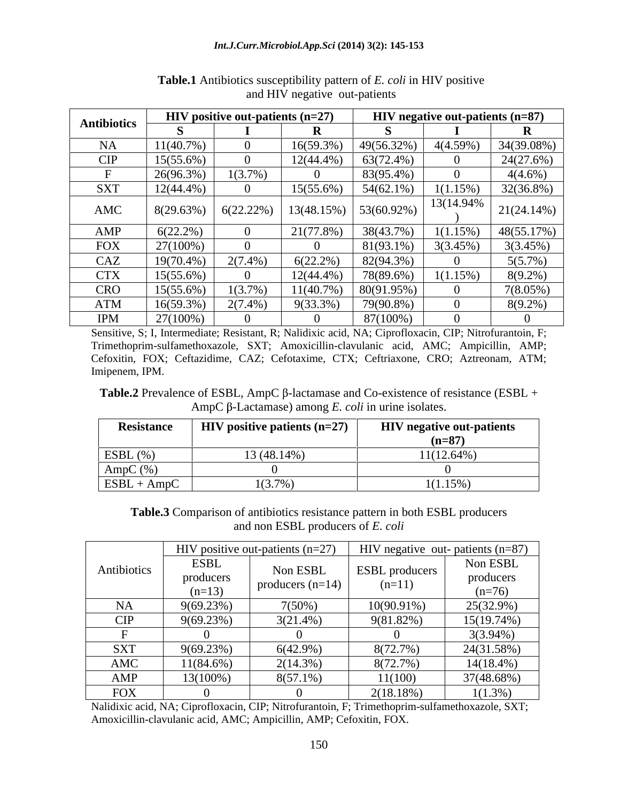| <b>Antibiotics</b> | <b>HIV</b> positive out-patients $(n=27)$ |              |              | <b>HIV</b> negative out-patients $(n=87)$ |            |               |
|--------------------|-------------------------------------------|--------------|--------------|-------------------------------------------|------------|---------------|
|                    |                                           |              |              |                                           |            |               |
| NA                 | 11(40.7%                                  |              | 16(59.3%)    | 49(56.32%)                                | 4(4.59%)   | 34(39.08%)    |
| <b>CIP</b>         | $15(55.6\%)$                              |              | $12(44.4\%)$ | $63(72.4\%)$                              |            | 24(27.6%)     |
|                    | 26(96.3%)                                 | $1(3.7\%)$   |              | 83(95.4%)                                 |            | $4(4.6\%)$    |
| SXT                | $12(44.4\%)$                              |              | 15(55.6%)    | 54(62.1%)                                 | 1(1.15%)   | 32(36.8%)     |
| AMC                | 8(29.63%)                                 | $6(22.22\%)$ | 13(48.15%)   | $153(60.92\%)$                            | 13(14.94%) | $21(24.14\%)$ |
| AMP                | $6(22.2\%)$                               |              | 21(77.8%)    | 38(43.7%                                  | 1(1.15%)   | 48(55.17%)    |
| <b>FOX</b>         | $27(100\%)$                               |              |              | 81(93.1%)                                 | 3(3.45%)   | 3(3.45%)      |
| CAZ                | $19(70.4\%)$                              | $2(7.4\%)$   | $6(22.2\%)$  | 82(94.3%)                                 |            | 5(5.7%)       |
| <b>CTX</b>         | $15(55.6\%)$                              |              | $12(44.4\%)$ | 78(89.6%)                                 | 1(1.15%)   | $8(9.2\%)$    |
| <b>CRO</b>         | $15(55.6\%)$                              | $1(3.7\%)$   | 11(40.7%     | 80(91.95%)                                |            | $7(8.05\%)$   |
| ATM                | $16(59.3\%)$                              | $2(7.4\%)$   | 9(33.3%)     | 79(90.8%)                                 |            | $8(9.2\%)$    |
| <b>IPM</b>         | 27(100%)                                  |              |              | 87(100%)                                  |            |               |

**Table.1** Antibiotics susceptibility pattern of *E. coli* in HIV positive and HIV negative out-patients

Sensitive, S; I, Intermediate; Resistant, R; Nalidixic acid, NA; Ciprofloxacin, CIP; Nitrofurantoin, F; Trimethoprim-sulfamethoxazole, SXT; Amoxicillin-clavulanic acid, AMC; Ampicillin, AMP; Cefoxitin, FOX; Ceftazidime, CAZ; Cefotaxime, CTX; Ceftriaxone, CRO; Aztreonam, ATM; Imipenem, IPM.

**Table.2** Prevalence of ESBL, AmpC  $\beta$ -lactamase and Co-existence of resistance (ESBL +  $AmpC \beta$ -Lactamase) among *E. coli* in urine isolates.

| Resistance           | <b>HIV</b> positive patients $(n=27)$ | <b>HIV</b> negative out-patients |
|----------------------|---------------------------------------|----------------------------------|
|                      |                                       | n–87<br>  11—07                  |
| $\vert$ ESBL $(\% )$ | 3(48.14%)                             | 11(12.64%                        |
| $\Delta$ mpC $(\%)$  |                                       |                                  |
| ESBL ·<br>- AmpC     | 1(3.7%                                | $1(1.15\%)$                      |

**Table.3** Comparison of antibiotics resistance pattern in both ESBL producers and non ESBL producers of *E. coli*

|             | HIV positive out-patients $(n=27)$ |                                | HIV negative out- patients $(n=87)$ |              |
|-------------|------------------------------------|--------------------------------|-------------------------------------|--------------|
| Antibiotics | <b>ESBL</b>                        | Non ESBL<br>producers $(n=14)$ | <b>ESBL</b> producers               | Non ESBL     |
|             | producers                          |                                | $(n=11)$                            | producers    |
|             | $(n=13)$                           |                                |                                     | $(n=76)$     |
| <b>NA</b>   | 9(69.23%)                          | 7(50%)                         | $10(90.91\%)$                       | $25(32.9\%)$ |
| CIP         | $9(69.23\%)$                       | $3(21.4\%)$                    | 9(81.82%                            | 15(19.74%)   |
|             |                                    |                                |                                     | $3(3.94\%)$  |
| <b>SXT</b>  | 9(69.23%)                          | $6(42.9\%)$                    | 8(72.7%)                            | 24(31.58%)   |
| AMC         | $11(84.6\%)$                       | $2(14.3\%)$                    | 8(72.7%)                            | $14(18.4\%)$ |
| AMP         | 13(100%)                           | $8(57.1\%)$                    | 11(100)                             | 37(48.68%)   |
| <b>FOX</b>  |                                    |                                | 2(18.18%                            | $(1.3\%)$    |

Nalidixic acid, NA; Ciprofloxacin, CIP; Nitrofurantoin, F; Trimethoprim-sulfamethoxazole, SXT; Amoxicillin-clavulanic acid, AMC; Ampicillin, AMP; Cefoxitin, FOX.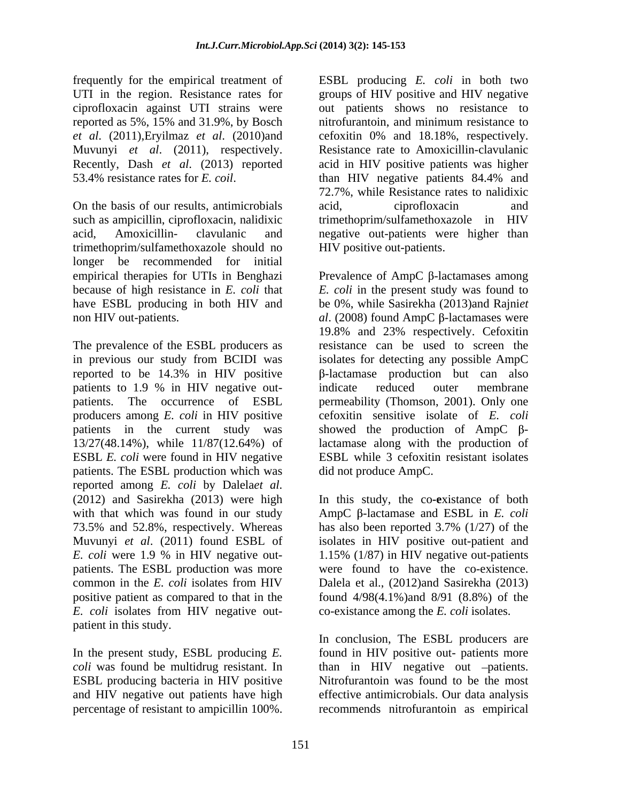frequently for the empirical treatment of ESBL producing E. coli in both two UTI in the region. Resistance rates for groups of HIV positive and HIV negative ciprofloxacin against UTI strains were out patients shows no resistance to reported as 5%, 15% and 31.9%, by Bosch *et al*. (2011),Eryilmaz *et al*. (2010)and Muvunyi *et al*. (2011), respectively. Recently, Dash *et al*. (2013) reported acid in HIV positive patients was higher

such as ampicillin, ciprofloxacin, nalidixic trimethoprim/sulfamethoxazole in HIV acid, Amoxicillin- clavulanic and negative out-patients were higher than trimethoprim/sulfamethoxazole should no longer be recommended for initial

The prevalence of the ESBL producers as patients to 1.9 % in HIV negative out-<br>indicate reduced outer membrane patients. The ESBL production which was reported among *E. coli* by Dalela*et al*. (2012) and Sasirekha (2013) were high *E. coli* isolates from HIV negative out patient in this study. frequently for the empirical traineness of resistance rates for resistance and the percentage of respectively. The colicies and the expectively of the resistance of respectively. By and 1.9%, by Dowell methods are one per

53.4% resistance rates for *E. coil.* than HIV negative patients 84.4% and<br>72.7%, while Resistance rates to nalidixic<br>On the basis of our results, antimicrobials acid, ciprofloxacin and nitrofurantoin, and minimum resistance to cefoxitin 0% and 18.18%, respectively. Resistance rate to Amoxicillin-clavulanic than HIV negative patients 84.4% and 72.7%, while Resistance rates to nalidixic acid, ciprofloxacin and HIV positive out-patients.

empirical therapies for UTIs in Benghazi Prevalence of AmpC  $\beta$ -lactamases among because of high resistance in *E. coli* that *E. coli* in the present study was found to have ESBL producing in both HIV and be 0%, while Sasirekha (2013)and Rajni*et*   $1$ non HIV out-patients.  $1$  *al.* (2008) found AmpC  $\beta$ -lactamases were in previous our study from BCIDI was isolates for detecting any possible AmpC reported to be  $14.3\%$  in HIV positive  $\beta$ -lactamase production but can also patients. The occurrence of ESBL permeability (Thomson, 2001). Only one producers among *E. coli* in HIV positive cefoxitin sensitive isolate of *E. coli* patients in the current study was showed the production of  $AmpC$   $\beta$ -13/27(48.14%), while 11/87(12.64%) of lactamase along with the production of ESBL *E. coli* were found in HIV negative ESBL while 3 cefoxitin resistant isolates 19.8% and 23% respectively. Cefoxitin resistance can be used to screen the -lactamase production but can also indicate reduced outer membrane did not produce AmpC.

with that which was found in our study  $\Delta mpc$   $\beta$ -lactamase and ESBL in *E. coli* 73.5% and 52.8%, respectively. Whereas has also been reported 3.7% (1/27) of the Muvunyi *et al*. (2011) found ESBL of isolates in HIV positive out-patient and *E. coli* were 1.9 % in HIV negative out- 1.15% (1/87) in HIV negative out-patients patients. The ESBL production was more were found to have the co-existence. common in the *E. coli* isolates from HIV Dalela et al., (2012)and Sasirekha (2013) positive patient as compared to that in the found 4/98(4.1%)and 8/91 (8.8%) of the In this study, the co**-e**xistance of both co-existance among the *E. coli* isolates.

In the present study, ESBL producing *E*. found in HIV positive out- patients more *coli* was found be multidrug resistant. In than in HIV negative out patients. ESBL producing bacteria in HIV positive Nitrofurantoin was found to be the most and HIV negative out patients have high effective antimicrobials. Our data analysis In conclusion, The ESBL producers are recommends nitrofurantoin as empirical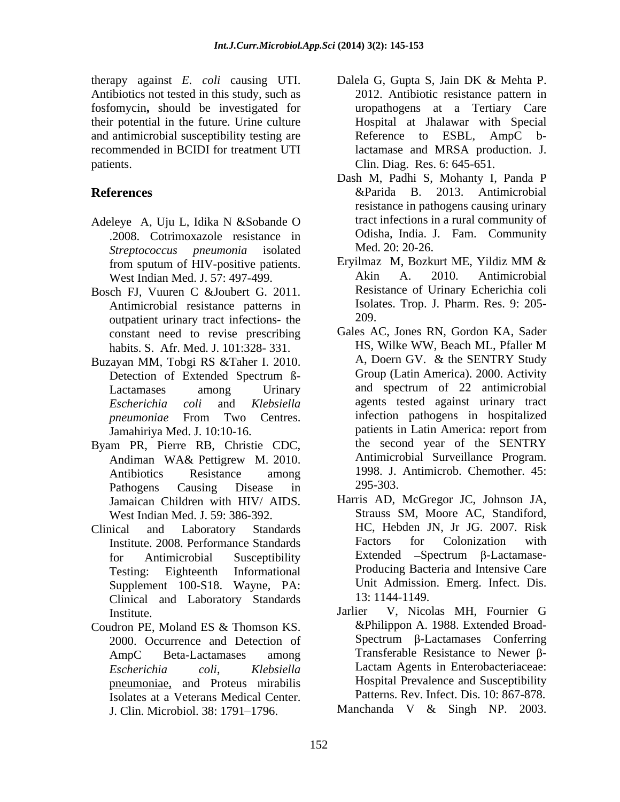Antibiotics not tested in this study, such as fosfomycin**,** should be investigated for their potential in the future. Urine culture and antimicrobial susceptibility testing are

- Adeleye A, Uju L, Idika N &Sobande O .2008. Cotrimoxazole resistance in *Streptococcus pneumonia* isolated
- Bosch FJ, Vuuren C &Joubert G. 2011. Antimicrobial resistance patterns in lsola<br>
outpatient urinary tract infections, the 209. outpatient urinary tract infections- the
- Buzayan MM, Tobgi RS &Taher I. 2010.
- Byam PR, Pierre RB, Christie CDC, Pathogens Causing Disease in 295-303. Jamaican Children with HIV/ AIDS. West Indian Med. J. 59: 386-392.
- Supplement 100-S18. Wayne, PA: Unit Admission<br>Clinical and Laboratory Standards 13:1144-1149. Clinical and Laboratory Standards
- Coudron PE, Moland ES & Thomson KS. 2000. Occurrence and Detection of pneumoniae, and Proteus mirabilis Isolates at a Veterans Medical Center. J. Clin. Microbiol. 38: 1791 1796. Manchanda V & Singh NP. 2003.
- therapy against *E. coli* causing UTI. Dalela G, Gupta S, Jain DK & Mehta P. recommended in BCIDI for treatment UTI lactamase and MRSA production. J. patients. **Clin.** Diag. Res. 6: 645-651. 2012. Antibiotic resistance pattern in uropathogens at a Tertiary Care Hospital at Jhalawar with Special Reference to ESBL, AmpC b-
- **References Example 2013 References Example 2013 Antimicrobial** Dash M, Padhi S, Mohanty I, Panda P &Parida B. 2013. Antimicrobial resistance in pathogens causing urinary tract infections in a rural community of Odisha, India. J. Fam. Community Med. 20: 20-26.
	- from sputum of HIV-positive patients. Eryilmaz M, Bozkurt ME, Yildiz MM & West Indian Med. J. 57: 497-499. Akin A. 2010. Antimicrobial Eryilmaz M, Bozkurt ME, Yildiz MM & Akin A. 2010. Antimicrobial Resistance of Urinary Echerichia coli Isolates. Trop. J. Pharm. Res. 9: 205- 209.
	- constant need to revise prescribing Gales AC, Jones RN, Gordon KA, Sader<br>habits S. Afr Med J 101.328-331. HS, Wilke WW, Beach ML, Pfaller M habits. S. Afr. Med. J. 101:328- 331. Detection of Extended Spectrum B-<br>
	Group (Latin America). 2000. Activity Lactamases among Urinary and spectrum of 22 antimicrobial *Escherichia coli* and *Klebsiella* agents tested against urinary tract *pneumoniae* From Two Centres. Jamahiriya Med. J. 10:10-16. patients in Latin America: report from Andiman WA& Pettigrew M. 2010. Antibiotics Resistance among 1998. J. Antimicrob. Chemother. 45: Gales AC, Jones RN, Gordon KA, Sader HS, Wilke WW, Beach ML, Pfaller M A, Doern GV. & the SENTRY Study Group (Latin America). 2000. Activity and spectrum of 22 antimicrobial infection pathogens in hospitalized patients in Latin America: report from the second year of the SENTRY Antimicrobial Surveillance Program. 1998. J. Antimicrob. Chemother. 45: 295-303.
- Clinical and Laboratory Standards HC, Hebden JN, Jr JG. 2007. Risk Institute. 2008. Performance Standards Factors for Colonization with for Antimicrobial Susceptibility Extended –Spectrum β-Lactamase-Testing: Eighteenth Informational Producing Bacteria and Intensive Care Harris AD, McGregor JC, Johnson JA, Strauss SM, Moore AC, Standiford, Factors for Colonization with Unit Admission. Emerg. Infect. Dis. 13: 1144-1149.
	- Institute. The same state of the state of the state of the state of the state of the state of the state of the state of the state of the state of the state of the state of the state of the state of the state of the state o AmpC Beta-Lactamases among Transferable Resistance to Newer B-*Escherichia coli*, *Klebsiella* Lactam Agents in Enterobacteriaceae: Jarlier V, Nicolas MH, Fournier G &Philippon A. 1988. Extended Broad-  $Spectrum$   $\beta$ -Lactamases Conferring Transferable Resistance to Newer  $\beta$ -Hospital Prevalence and Susceptibility Patterns. Rev. Infect. Dis. 10: 867-878.